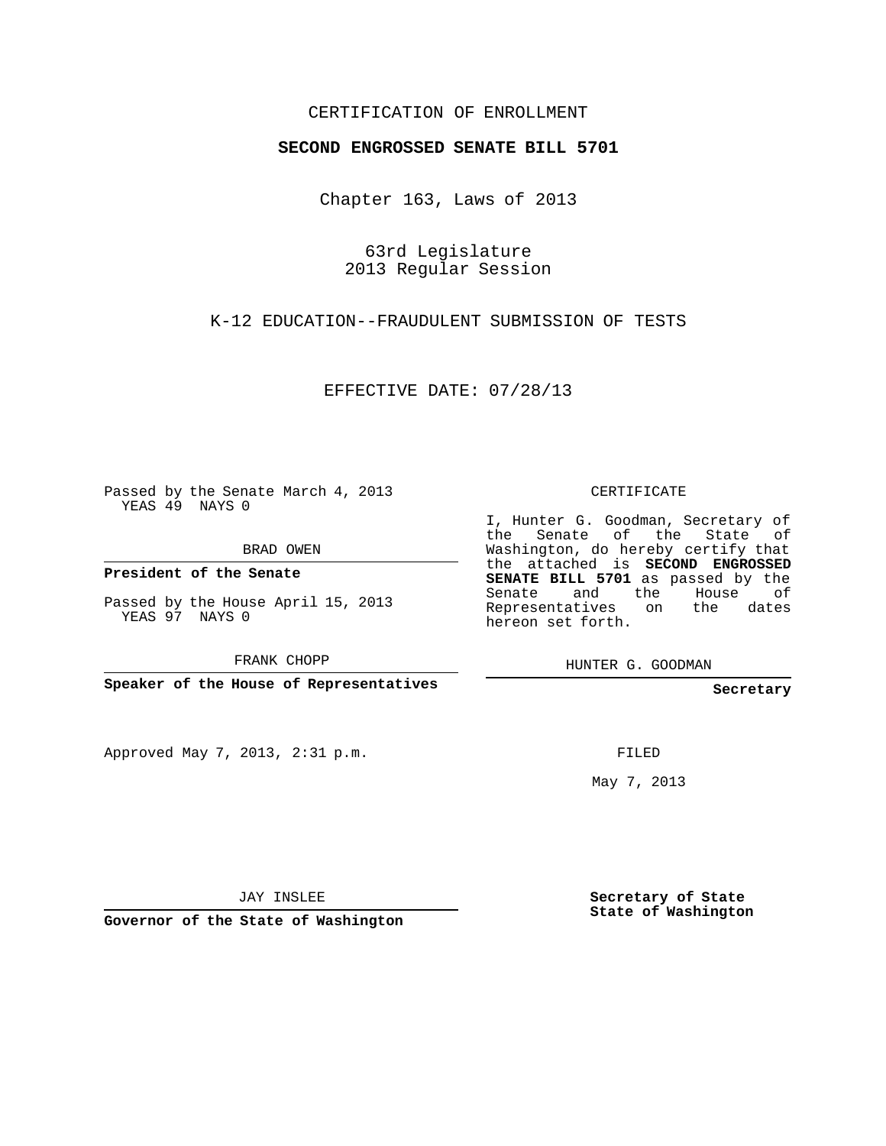## CERTIFICATION OF ENROLLMENT

## **SECOND ENGROSSED SENATE BILL 5701**

Chapter 163, Laws of 2013

63rd Legislature 2013 Regular Session

K-12 EDUCATION--FRAUDULENT SUBMISSION OF TESTS

EFFECTIVE DATE: 07/28/13

Passed by the Senate March 4, 2013 YEAS 49 NAYS 0

BRAD OWEN

**President of the Senate**

Passed by the House April 15, 2013 YEAS 97 NAYS 0

FRANK CHOPP

**Speaker of the House of Representatives**

Approved May 7, 2013, 2:31 p.m.

CERTIFICATE

I, Hunter G. Goodman, Secretary of the Senate of the State of Washington, do hereby certify that the attached is **SECOND ENGROSSED SENATE BILL 5701** as passed by the Senate and the House of Representatives on the dates hereon set forth.

HUNTER G. GOODMAN

**Secretary**

FILED

May 7, 2013

JAY INSLEE

**Governor of the State of Washington**

**Secretary of State State of Washington**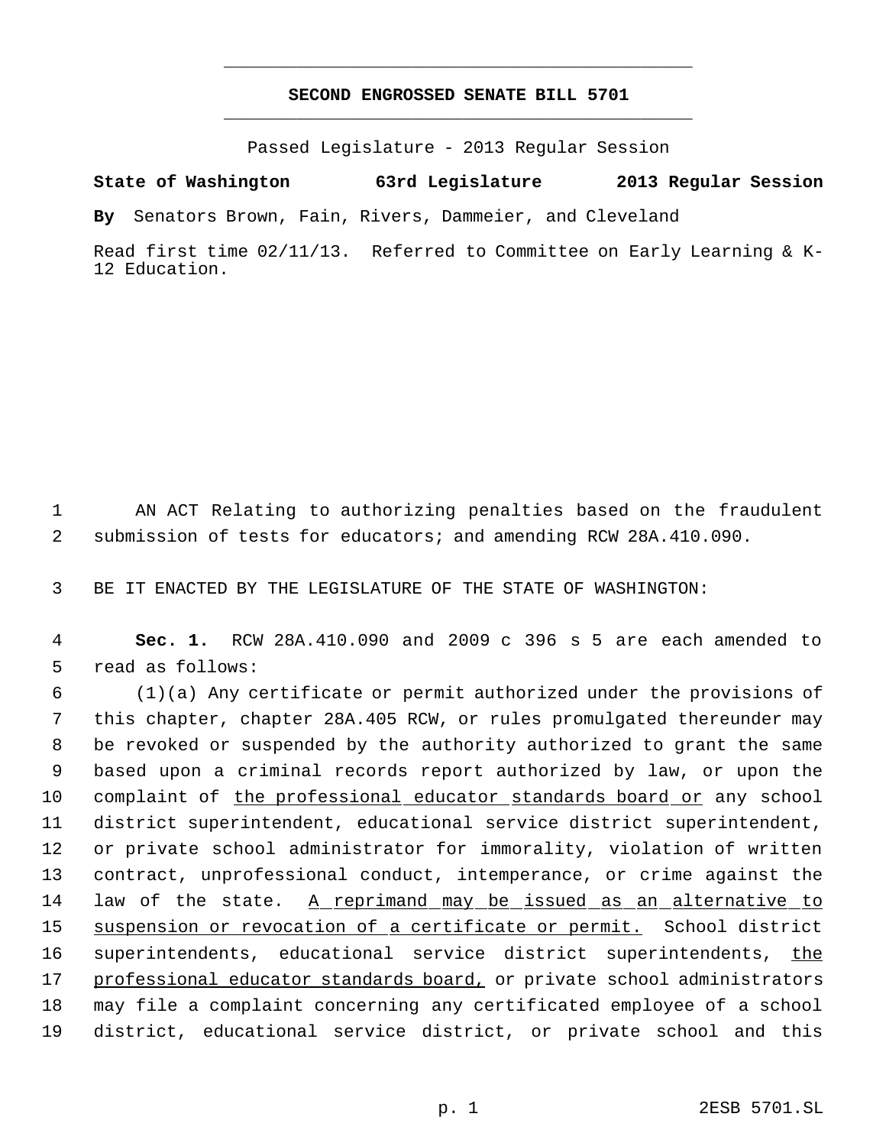## **SECOND ENGROSSED SENATE BILL 5701** \_\_\_\_\_\_\_\_\_\_\_\_\_\_\_\_\_\_\_\_\_\_\_\_\_\_\_\_\_\_\_\_\_\_\_\_\_\_\_\_\_\_\_\_\_

\_\_\_\_\_\_\_\_\_\_\_\_\_\_\_\_\_\_\_\_\_\_\_\_\_\_\_\_\_\_\_\_\_\_\_\_\_\_\_\_\_\_\_\_\_

Passed Legislature - 2013 Regular Session

**State of Washington 63rd Legislature 2013 Regular Session**

**By** Senators Brown, Fain, Rivers, Dammeier, and Cleveland

Read first time 02/11/13. Referred to Committee on Early Learning & K-12 Education.

 1 AN ACT Relating to authorizing penalties based on the fraudulent 2 submission of tests for educators; and amending RCW 28A.410.090.

3 BE IT ENACTED BY THE LEGISLATURE OF THE STATE OF WASHINGTON:

 4 **Sec. 1.** RCW 28A.410.090 and 2009 c 396 s 5 are each amended to 5 read as follows:

 (1)(a) Any certificate or permit authorized under the provisions of this chapter, chapter 28A.405 RCW, or rules promulgated thereunder may be revoked or suspended by the authority authorized to grant the same based upon a criminal records report authorized by law, or upon the complaint of the professional educator standards board or any school district superintendent, educational service district superintendent, or private school administrator for immorality, violation of written contract, unprofessional conduct, intemperance, or crime against the law of the state. A reprimand may be issued as an alternative to 15 suspension or revocation of a certificate or permit. School district 16 superintendents, educational service district superintendents, the 17 professional educator standards board, or private school administrators may file a complaint concerning any certificated employee of a school district, educational service district, or private school and this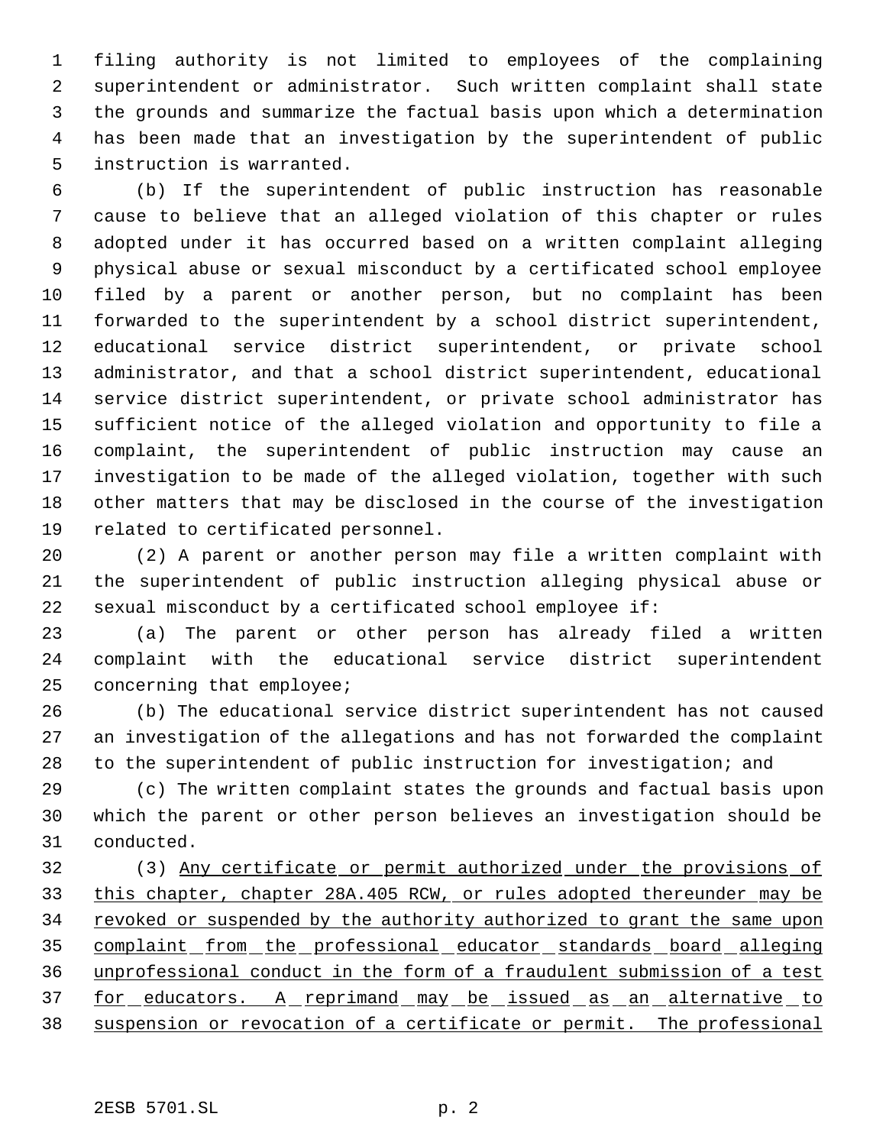filing authority is not limited to employees of the complaining superintendent or administrator. Such written complaint shall state the grounds and summarize the factual basis upon which a determination has been made that an investigation by the superintendent of public instruction is warranted.

 (b) If the superintendent of public instruction has reasonable cause to believe that an alleged violation of this chapter or rules adopted under it has occurred based on a written complaint alleging physical abuse or sexual misconduct by a certificated school employee filed by a parent or another person, but no complaint has been forwarded to the superintendent by a school district superintendent, educational service district superintendent, or private school administrator, and that a school district superintendent, educational service district superintendent, or private school administrator has sufficient notice of the alleged violation and opportunity to file a complaint, the superintendent of public instruction may cause an investigation to be made of the alleged violation, together with such other matters that may be disclosed in the course of the investigation related to certificated personnel.

 (2) A parent or another person may file a written complaint with the superintendent of public instruction alleging physical abuse or sexual misconduct by a certificated school employee if:

 (a) The parent or other person has already filed a written complaint with the educational service district superintendent concerning that employee;

 (b) The educational service district superintendent has not caused an investigation of the allegations and has not forwarded the complaint to the superintendent of public instruction for investigation; and

 (c) The written complaint states the grounds and factual basis upon which the parent or other person believes an investigation should be conducted.

 (3) Any certificate or permit authorized under the provisions of this chapter, chapter 28A.405 RCW, or rules adopted thereunder may be 34 revoked or suspended by the authority authorized to grant the same upon 35 complaint from the professional educator standards board alleging unprofessional conduct in the form of a fraudulent submission of a test 37 for educators. A reprimand may be issued as an alternative to suspension or revocation of a certificate or permit. The professional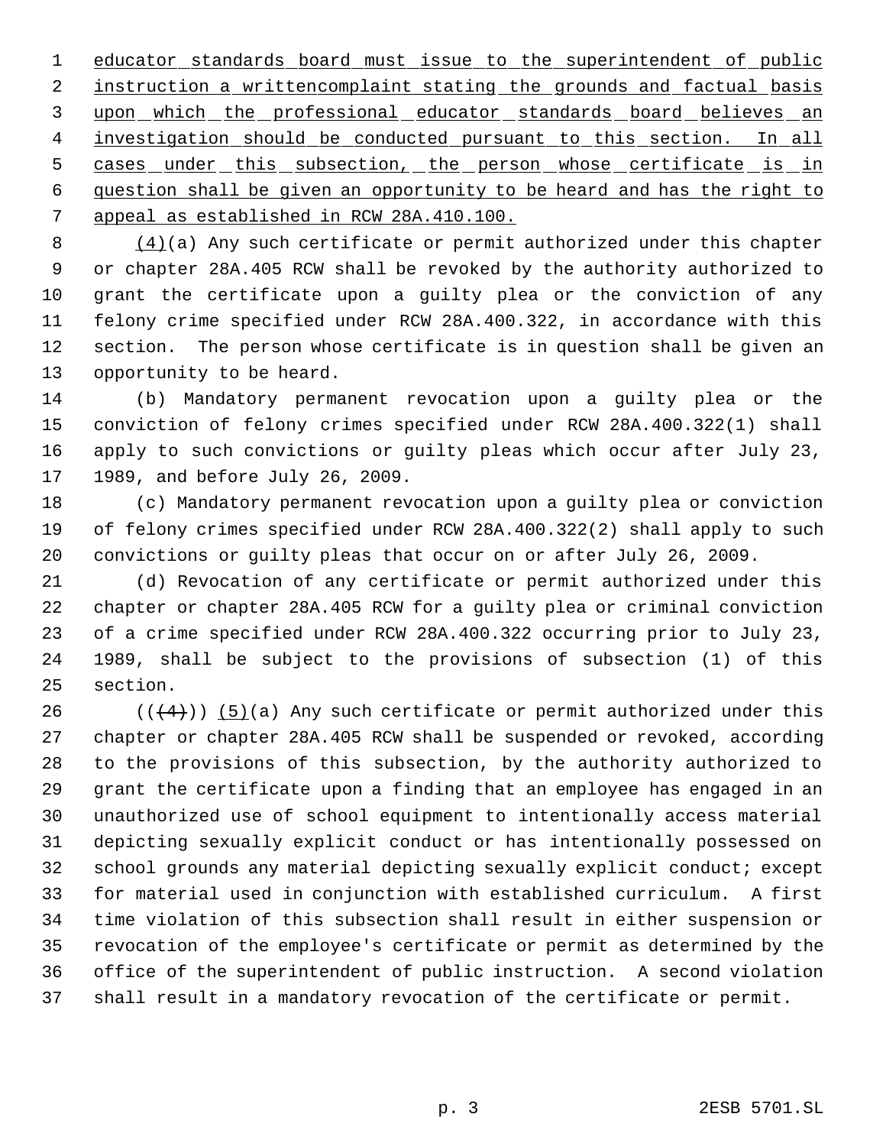1 educator standards board must issue to the superintendent of public 2 instruction a writtencomplaint stating the grounds and factual basis 3 upon which the professional educator standards board believes an 4 investigation should be conducted pursuant to this section. In all 5 cases under this subsection, the person whose certificate is in question shall be given an opportunity to be heard and has the right to appeal as established in RCW 28A.410.100.

 (4)(a) Any such certificate or permit authorized under this chapter or chapter 28A.405 RCW shall be revoked by the authority authorized to grant the certificate upon a guilty plea or the conviction of any felony crime specified under RCW 28A.400.322, in accordance with this section. The person whose certificate is in question shall be given an opportunity to be heard.

 (b) Mandatory permanent revocation upon a guilty plea or the conviction of felony crimes specified under RCW 28A.400.322(1) shall apply to such convictions or guilty pleas which occur after July 23, 1989, and before July 26, 2009.

 (c) Mandatory permanent revocation upon a guilty plea or conviction of felony crimes specified under RCW 28A.400.322(2) shall apply to such convictions or guilty pleas that occur on or after July 26, 2009.

 (d) Revocation of any certificate or permit authorized under this chapter or chapter 28A.405 RCW for a guilty plea or criminal conviction of a crime specified under RCW 28A.400.322 occurring prior to July 23, 1989, shall be subject to the provisions of subsection (1) of this section.

26 ( $(\frac{4}{4})$ ) (5)(a) Any such certificate or permit authorized under this chapter or chapter 28A.405 RCW shall be suspended or revoked, according to the provisions of this subsection, by the authority authorized to grant the certificate upon a finding that an employee has engaged in an unauthorized use of school equipment to intentionally access material depicting sexually explicit conduct or has intentionally possessed on school grounds any material depicting sexually explicit conduct; except for material used in conjunction with established curriculum. A first time violation of this subsection shall result in either suspension or revocation of the employee's certificate or permit as determined by the office of the superintendent of public instruction. A second violation shall result in a mandatory revocation of the certificate or permit.